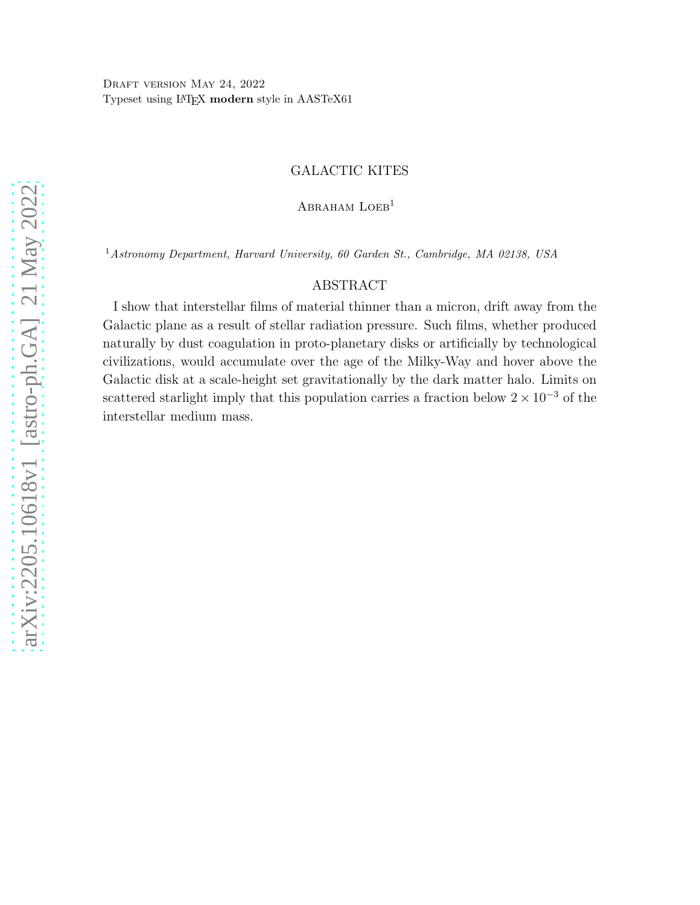# GALACTIC KITES

ABRAHAM LOEB<sup>1</sup>

<sup>1</sup>Astronomy Department, Harvard University, 60 Garden St., Cambridge, MA 02138, USA

## ABSTRACT

I show that interstellar films of material thinner than a micron, drift away from the Galactic plane as a result of stellar radiation pressure. Such films, whether produced naturally by dust coagulation in proto-planetary disks or artificially by technological civilizations, would accumulate over the age of the Milky-Way and hover above the Galactic disk at a scale-height set gravitationally by the dark matter halo. Limits on scattered starlight imply that this population carries a fraction below  $2 \times 10^{-3}$  of the interstellar medium mass.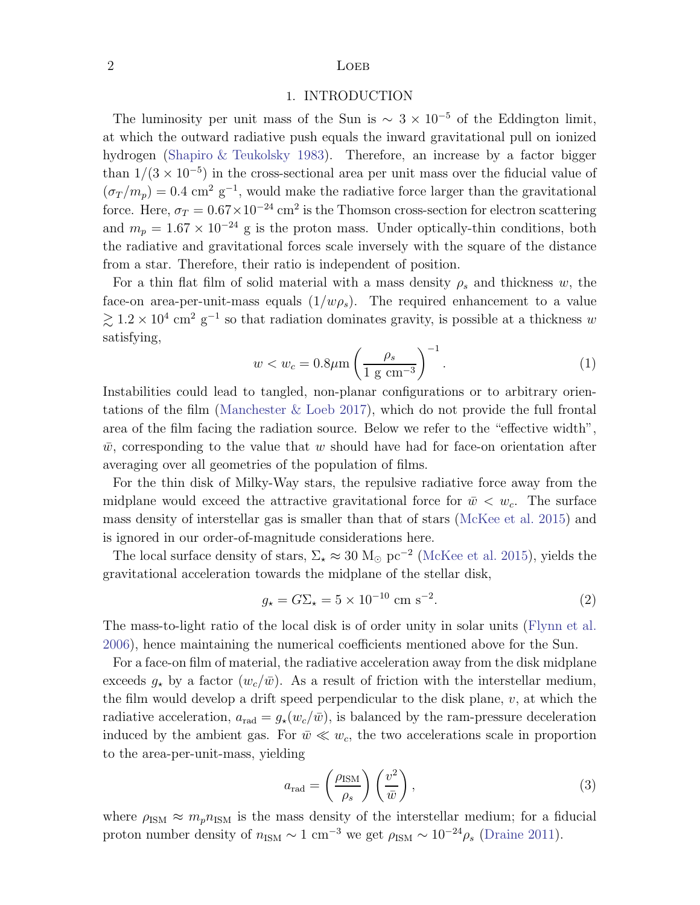## $2 \t\t\t\t LoEB$

## 1. INTRODUCTION

The luminosity per unit mass of the Sun is  $\sim 3 \times 10^{-5}$  of the Eddington limit, at which the outward radiative push equals the inward gravitational pull on ionized hydrogen [\(Shapiro & Teukolsky 1983\)](#page-3-0). Therefore, an increase by a factor bigger than  $1/(3 \times 10^{-5})$  in the cross-sectional area per unit mass over the fiducial value of  $(\sigma_T/m_p) = 0.4$  cm<sup>2</sup> g<sup>-1</sup>, would make the radiative force larger than the gravitational force. Here,  $\sigma_T = 0.67 \times 10^{-24}$  cm<sup>2</sup> is the Thomson cross-section for electron scattering and  $m_p = 1.67 \times 10^{-24}$  g is the proton mass. Under optically-thin conditions, both the radiative and gravitational forces scale inversely with the square of the distance from a star. Therefore, their ratio is independent of position.

<span id="page-1-0"></span>For a thin flat film of solid material with a mass density  $\rho_s$  and thickness w, the face-on area-per-unit-mass equals  $(1/w\rho_s)$ . The required enhancement to a value  $\gtrsim 1.2 \times 10^4$  cm<sup>2</sup> g<sup>-1</sup> so that radiation dominates gravity, is possible at a thickness w satisfying,

$$
w < w_c = 0.8\mu\text{m} \left(\frac{\rho_s}{1 \text{ g cm}^{-3}}\right)^{-1}.\tag{1}
$$

Instabilities could lead to tangled, non-planar configurations or to arbitrary orientations of the film [\(Manchester & Loeb 2017\)](#page-3-1), which do not provide the full frontal area of the film facing the radiation source. Below we refer to the "effective width",  $\bar{w}$ , corresponding to the value that w should have had for face-on orientation after averaging over all geometries of the population of films.

For the thin disk of Milky-Way stars, the repulsive radiative force away from the midplane would exceed the attractive gravitational force for  $\bar{w} < w_c$ . The surface mass density of interstellar gas is smaller than that of stars [\(McKee et al. 2015\)](#page-3-2) and is ignored in our order-of-magnitude considerations here.

The local surface density of stars,  $\Sigma_{\star} \approx 30 \text{ M}_{\odot} \text{ pc}^{-2}$  [\(McKee et al. 2015\)](#page-3-2), yields the gravitational acceleration towards the midplane of the stellar disk,

$$
g_{\star} = G\Sigma_{\star} = 5 \times 10^{-10} \text{ cm s}^{-2}.
$$
 (2)

The mass-to-light ratio of the local disk is of order unity in solar units [\(Flynn et al.](#page-3-3) [2006\)](#page-3-3), hence maintaining the numerical coefficients mentioned above for the Sun.

For a face-on film of material, the radiative acceleration away from the disk midplane exceeds  $g_{\star}$  by a factor  $(w_c/\bar{w})$ . As a result of friction with the interstellar medium, the film would develop a drift speed perpendicular to the disk plane,  $v$ , at which the radiative acceleration,  $a_{rad} = g_{\star}(w_c/\bar{w})$ , is balanced by the ram-pressure deceleration induced by the ambient gas. For  $\bar{w} \ll w_c$ , the two accelerations scale in proportion to the area-per-unit-mass, yielding

<span id="page-1-1"></span>
$$
a_{\rm rad} = \left(\frac{\rho_{\rm ISM}}{\rho_s}\right) \left(\frac{v^2}{\bar{w}}\right),\tag{3}
$$

where  $\rho_{\rm ISM} \approx m_p n_{\rm ISM}$  is the mass density of the interstellar medium; for a fiducial proton number density of  $n_{\rm ISM} \sim 1 \text{ cm}^{-3}$  we get  $\rho_{\rm ISM} \sim 10^{-24} \rho_s$  [\(Draine 2011\)](#page-3-4).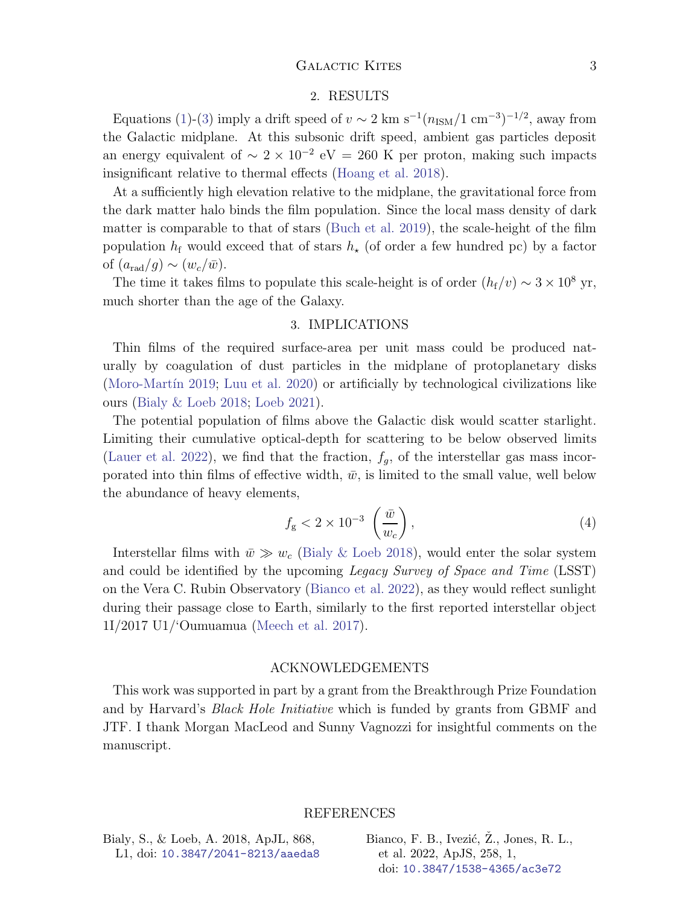## GALACTIC KITES 3

#### 2. RESULTS

Equations [\(1\)](#page-1-0)-[\(3\)](#page-1-1) imply a drift speed of  $v \sim 2 \text{ km s}^{-1} (n_{\text{ISM}}/1 \text{ cm}^{-3})^{-1/2}$ , away from the Galactic midplane. At this subsonic drift speed, ambient gas particles deposit an energy equivalent of  $\sim 2 \times 10^{-2}$  eV = 260 K per proton, making such impacts insignificant relative to thermal effects [\(Hoang et al. 2018](#page-3-5)).

At a sufficiently high elevation relative to the midplane, the gravitational force from the dark matter halo binds the film population. Since the local mass density of dark matter is comparable to that of stars [\(Buch et al. 2019\)](#page-3-6), the scale-height of the film population  $h_f$  would exceed that of stars  $h_{\star}$  (of order a few hundred pc) by a factor of  $(a_{\rm rad}/q) \sim (w_c/\bar{w})$ .

The time it takes films to populate this scale-height is of order  $(h_f/v) \sim 3 \times 10^8$  yr, much shorter than the age of the Galaxy.

#### 3. IMPLICATIONS

Thin films of the required surface-area per unit mass could be produced naturally by coagulation of dust particles in the midplane of protoplanetary disks (Moro-Martín 2019; [Luu et al. 2020\)](#page-3-8) or artificially by technological civilizations like ours [\(Bialy & Loeb 2018](#page-2-0); [Loeb 2021\)](#page-3-9).

The potential population of films above the Galactic disk would scatter starlight. Limiting their cumulative optical-depth for scattering to be below observed limits [\(Lauer et al. 2022\)](#page-3-10), we find that the fraction,  $f_q$ , of the interstellar gas mass incorporated into thin films of effective width,  $\bar{w}$ , is limited to the small value, well below the abundance of heavy elements,

$$
f_{\rm g} < 2 \times 10^{-3} \left( \frac{\bar{w}}{w_c} \right), \tag{4}
$$

Interstellar films with  $\bar{w} \gg w_c$  [\(Bialy & Loeb 2018](#page-2-0)), would enter the solar system and could be identified by the upcoming *Legacy Survey of Space and Time* (LSST) on the Vera C. Rubin Observatory [\(Bianco et al. 2022\)](#page-2-1), as they would reflect sunlight during their passage close to Earth, similarly to the first reported interstellar object 1I/2017 U1/'Oumuamua [\(Meech et al. 2017\)](#page-3-11).

## ACKNOWLEDGEMENTS

This work was supported in part by a grant from the Breakthrough Prize Foundation and by Harvard's *Black Hole Initiative* which is funded by grants from GBMF and JTF. I thank Morgan MacLeod and Sunny Vagnozzi for insightful comments on the manuscript.

## REFERENCES

<span id="page-2-0"></span>Bialy, S., & Loeb, A. 2018, ApJL, 868, L1, doi: [10.3847/2041-8213/aaeda8](http://doi.org/10.3847/2041-8213/aaeda8) <span id="page-2-1"></span>Bianco, F. B., Ivezić,  $\ddot{Z}$ ., Jones, R. L., et al. 2022, ApJS, 258, 1, doi: [10.3847/1538-4365/ac3e72](http://doi.org/10.3847/1538-4365/ac3e72)